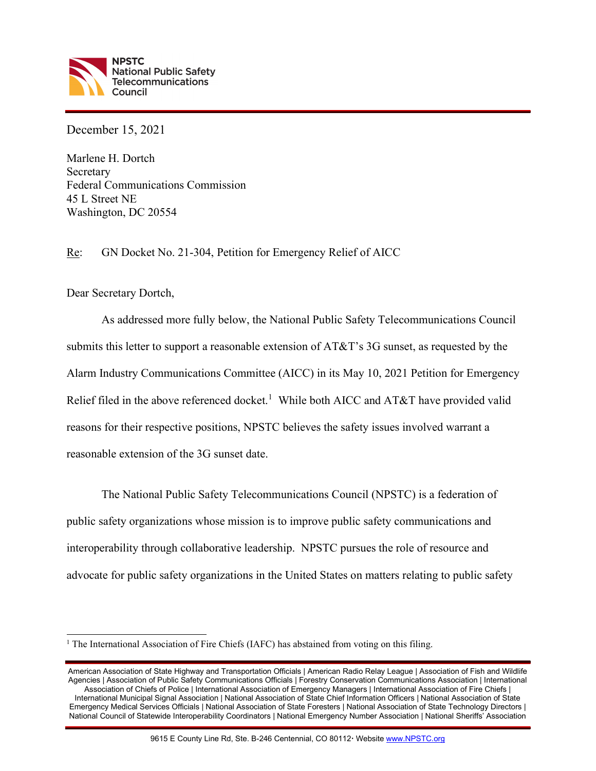

December 15, 2021

Marlene H. Dortch Secretary Federal Communications Commission 45 L Street NE Washington, DC 20554

Re: GN Docket No. 21-304, Petition for Emergency Relief of AICC

Dear Secretary Dortch,

As addressed more fully below, the National Public Safety Telecommunications Council submits this letter to support a reasonable extension of AT&T's 3G sunset, as requested by the Alarm Industry Communications Committee (AICC) in its May 10, 2021 Petition for Emergency Relief filed in the above referenced docket.<sup>1</sup> While both AICC and AT&T have provided valid reasons for their respective positions, NPSTC believes the safety issues involved warrant a reasonable extension of the 3G sunset date.

The National Public Safety Telecommunications Council (NPSTC) is a federation of public safety organizations whose mission is to improve public safety communications and interoperability through collaborative leadership. NPSTC pursues the role of resource and advocate for public safety organizations in the United States on matters relating to public safety

<sup>&</sup>lt;sup>1</sup> The International Association of Fire Chiefs (IAFC) has abstained from voting on this filing.

American Association of State Highway and Transportation Officials | American Radio Relay League | Association of Fish and Wildlife Agencies | Association of Public Safety Communications Officials | Forestry Conservation Communications Association | International Association of Chiefs of Police | International Association of Emergency Managers | International Association of Fire Chiefs | International Municipal Signal Association | National Association of State Chief Information Officers | National Association of State Emergency Medical Services Officials | National Association of State Foresters | National Association of State Technology Directors | National Council of Statewide Interoperability Coordinators | National Emergency Number Association | National Sheriffs' Association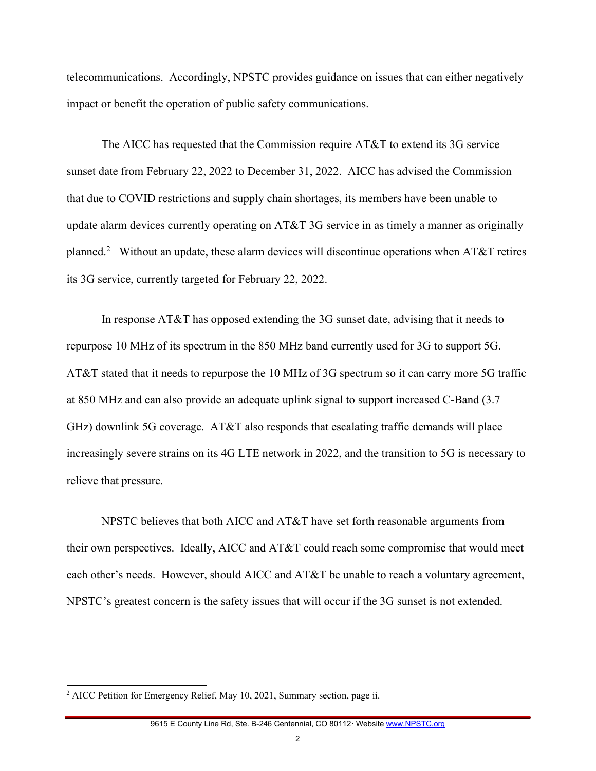telecommunications. Accordingly, NPSTC provides guidance on issues that can either negatively impact or benefit the operation of public safety communications.

The AICC has requested that the Commission require AT&T to extend its 3G service sunset date from February 22, 2022 to December 31, 2022. AICC has advised the Commission that due to COVID restrictions and supply chain shortages, its members have been unable to update alarm devices currently operating on AT&T 3G service in as timely a manner as originally planned.<sup>2</sup> Without an update, these alarm devices will discontinue operations when AT&T retires its 3G service, currently targeted for February 22, 2022.

In response AT&T has opposed extending the 3G sunset date, advising that it needs to repurpose 10 MHz of its spectrum in the 850 MHz band currently used for 3G to support 5G. AT&T stated that it needs to repurpose the 10 MHz of 3G spectrum so it can carry more 5G traffic at 850 MHz and can also provide an adequate uplink signal to support increased C-Band (3.7 GHz) downlink 5G coverage. AT&T also responds that escalating traffic demands will place increasingly severe strains on its 4G LTE network in 2022, and the transition to 5G is necessary to relieve that pressure.

NPSTC believes that both AICC and AT&T have set forth reasonable arguments from their own perspectives. Ideally, AICC and AT&T could reach some compromise that would meet each other's needs. However, should AICC and AT&T be unable to reach a voluntary agreement, NPSTC's greatest concern is the safety issues that will occur if the 3G sunset is not extended.

<sup>&</sup>lt;sup>2</sup> AICC Petition for Emergency Relief, May 10, 2021, Summary section, page ii.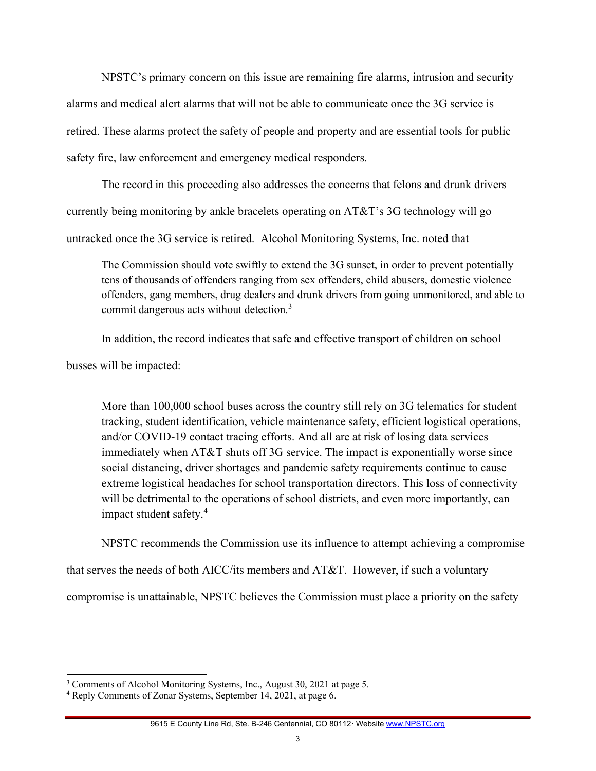NPSTC's primary concern on this issue are remaining fire alarms, intrusion and security alarms and medical alert alarms that will not be able to communicate once the 3G service is retired. These alarms protect the safety of people and property and are essential tools for public safety fire, law enforcement and emergency medical responders.

The record in this proceeding also addresses the concerns that felons and drunk drivers currently being monitoring by ankle bracelets operating on AT&T's 3G technology will go untracked once the 3G service is retired. Alcohol Monitoring Systems, Inc. noted that

The Commission should vote swiftly to extend the 3G sunset, in order to prevent potentially tens of thousands of offenders ranging from sex offenders, child abusers, domestic violence offenders, gang members, drug dealers and drunk drivers from going unmonitored, and able to commit dangerous acts without detection.<sup>3</sup>

In addition, the record indicates that safe and effective transport of children on school

busses will be impacted:

More than 100,000 school buses across the country still rely on 3G telematics for student tracking, student identification, vehicle maintenance safety, efficient logistical operations, and/or COVID-19 contact tracing efforts. And all are at risk of losing data services immediately when AT&T shuts off 3G service. The impact is exponentially worse since social distancing, driver shortages and pandemic safety requirements continue to cause extreme logistical headaches for school transportation directors. This loss of connectivity will be detrimental to the operations of school districts, and even more importantly, can impact student safety.<sup>4</sup>

NPSTC recommends the Commission use its influence to attempt achieving a compromise

that serves the needs of both AICC/its members and AT&T. However, if such a voluntary

compromise is unattainable, NPSTC believes the Commission must place a priority on the safety

<sup>&</sup>lt;sup>3</sup> Comments of Alcohol Monitoring Systems, Inc., August 30, 2021 at page 5.

<sup>4</sup> Reply Comments of Zonar Systems, September 14, 2021, at page 6.